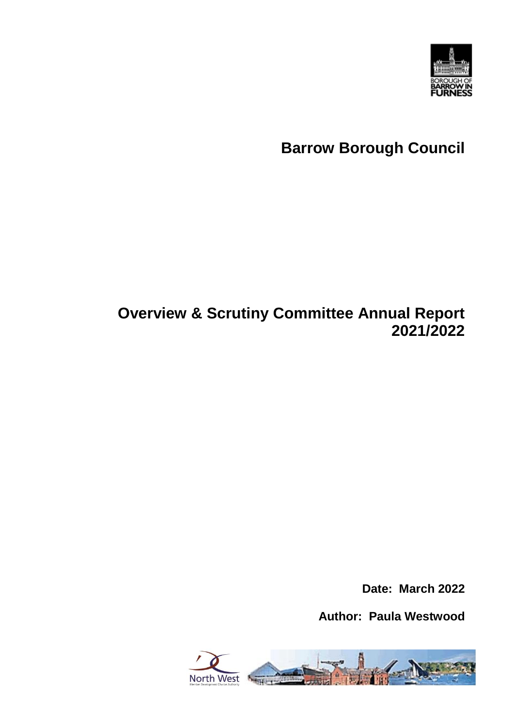

# **Barrow Borough Council**

# **Overview & Scrutiny Committee Annual Report 2021/2022**

**Date: March 2022**

**Author: Paula Westwood**

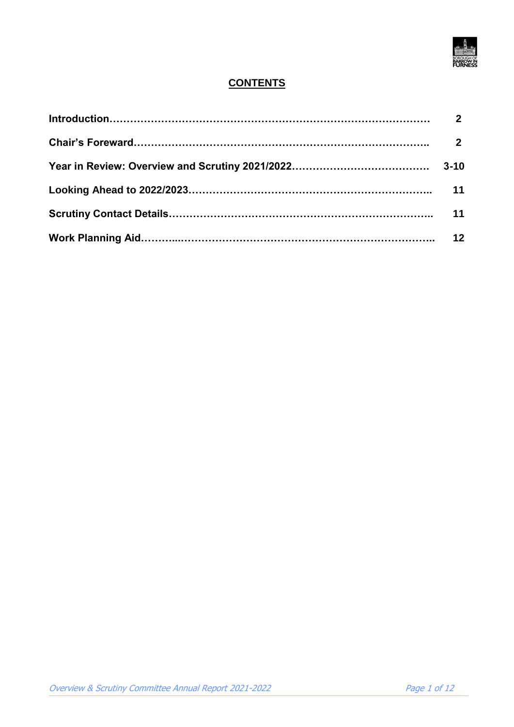

# **CONTENTS**

| $\overline{2}$ |
|----------------|
|                |
|                |
|                |
| 11             |
|                |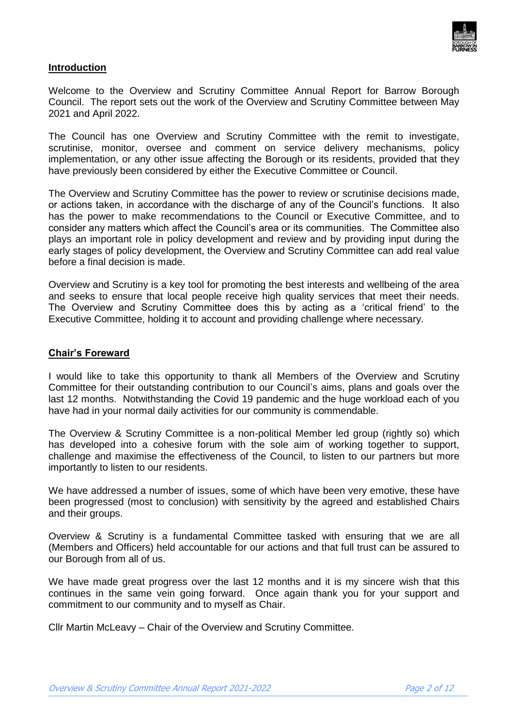

# **Introduction**

Welcome to the Overview and Scrutiny Committee Annual Report for Barrow Borough Council. The report sets out the work of the Overview and Scrutiny Committee between May 2021 and April 2022.

The Council has one Overview and Scrutiny Committee with the remit to investigate, scrutinise, monitor, oversee and comment on service delivery mechanisms, policy implementation, or any other issue affecting the Borough or its residents, provided that they have previously been considered by either the Executive Committee or Council.

The Overview and Scrutiny Committee has the power to review or scrutinise decisions made, or actions taken, in accordance with the discharge of any of the Council's functions. It also has the power to make recommendations to the Council or Executive Committee, and to consider any matters which affect the Council's area or its communities. The Committee also plays an important role in policy development and review and by providing input during the early stages of policy development, the Overview and Scrutiny Committee can add real value before a final decision is made.

Overview and Scrutiny is a key tool for promoting the best interests and wellbeing of the area and seeks to ensure that local people receive high quality services that meet their needs. The Overview and Scrutiny Committee does this by acting as a 'critical friend' to the Executive Committee, holding it to account and providing challenge where necessary.

# **Chair's Foreward**

I would like to take this opportunity to thank all Members of the Overview and Scrutiny Committee for their outstanding contribution to our Council's aims, plans and goals over the last 12 months. Notwithstanding the Covid 19 pandemic and the huge workload each of you have had in your normal daily activities for our community is commendable.

The Overview & Scrutiny Committee is a non-political Member led group (rightly so) which has developed into a cohesive forum with the sole aim of working together to support, challenge and maximise the effectiveness of the Council, to listen to our partners but more importantly to listen to our residents.

We have addressed a number of issues, some of which have been very emotive, these have been progressed (most to conclusion) with sensitivity by the agreed and established Chairs and their groups.

Overview & Scrutiny is a fundamental Committee tasked with ensuring that we are all (Members and Officers) held accountable for our actions and that full trust can be assured to our Borough from all of us.

We have made great progress over the last 12 months and it is my sincere wish that this continues in the same vein going forward. Once again thank you for your support and commitment to our community and to myself as Chair.

Cllr Martin McLeavy – Chair of the Overview and Scrutiny Committee.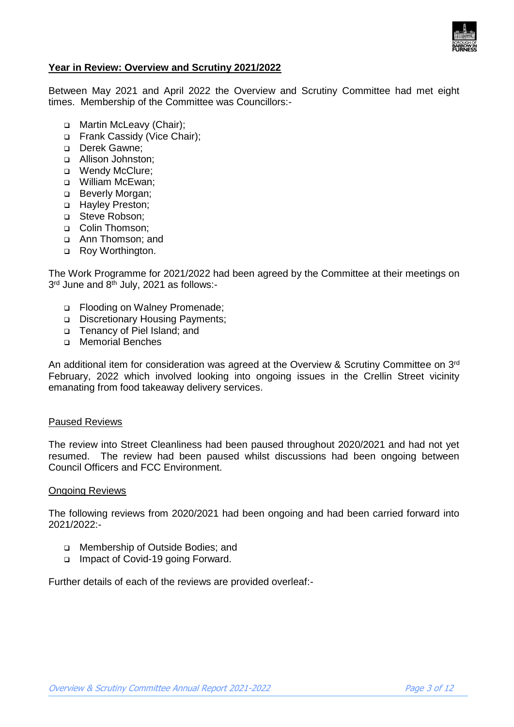

# **Year in Review: Overview and Scrutiny 2021/2022**

Between May 2021 and April 2022 the Overview and Scrutiny Committee had met eight times. Membership of the Committee was Councillors:-

- □ Martin McLeavy (Chair);
- □ Frank Cassidy (Vice Chair);
- Derek Gawne:
- Allison Johnston;
- □ Wendy McClure;
- William McEwan;
- **Beverly Morgan;**
- □ Hayley Preston;
- □ Steve Robson:
- □ Colin Thomson:
- Ann Thomson; and
- □ Roy Worthington.

The Work Programme for 2021/2022 had been agreed by the Committee at their meetings on 3<sup>rd</sup> June and 8<sup>th</sup> July, 2021 as follows:-

- □ Flooding on Walney Promenade;
- Discretionary Housing Payments;
- □ Tenancy of Piel Island; and
- Memorial Benches

An additional item for consideration was agreed at the Overview & Scrutiny Committee on 3rd February, 2022 which involved looking into ongoing issues in the Crellin Street vicinity emanating from food takeaway delivery services.

#### Paused Reviews

The review into Street Cleanliness had been paused throughout 2020/2021 and had not yet resumed. The review had been paused whilst discussions had been ongoing between Council Officers and FCC Environment.

# Ongoing Reviews

The following reviews from 2020/2021 had been ongoing and had been carried forward into 2021/2022:-

- Membership of Outside Bodies; and
- □ Impact of Covid-19 going Forward.

Further details of each of the reviews are provided overleaf:-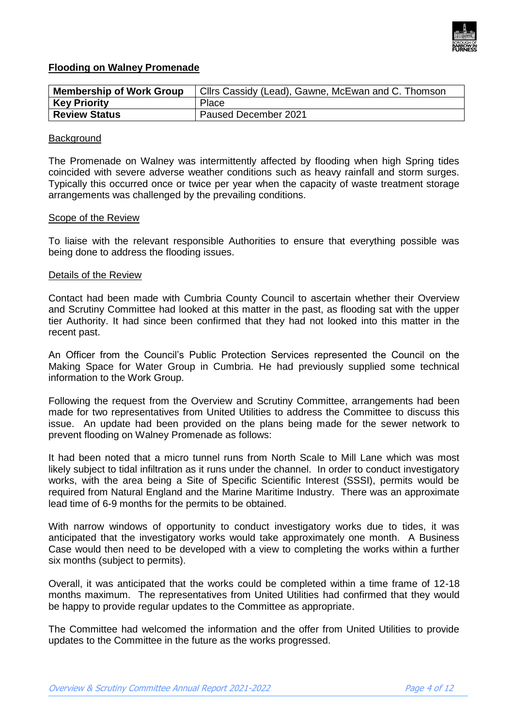

# **Flooding on Walney Promenade**

| <b>Membership of Work Group</b> | Cllrs Cassidy (Lead), Gawne, McEwan and C. Thomson |
|---------------------------------|----------------------------------------------------|
| <b>Key Priority</b>             | Place                                              |
| <b>Review Status</b>            | Paused December 2021                               |

#### **Background**

The Promenade on Walney was intermittently affected by flooding when high Spring tides coincided with severe adverse weather conditions such as heavy rainfall and storm surges. Typically this occurred once or twice per year when the capacity of waste treatment storage arrangements was challenged by the prevailing conditions.

#### Scope of the Review

To liaise with the relevant responsible Authorities to ensure that everything possible was being done to address the flooding issues.

#### Details of the Review

Contact had been made with Cumbria County Council to ascertain whether their Overview and Scrutiny Committee had looked at this matter in the past, as flooding sat with the upper tier Authority. It had since been confirmed that they had not looked into this matter in the recent past.

An Officer from the Council's Public Protection Services represented the Council on the Making Space for Water Group in Cumbria. He had previously supplied some technical information to the Work Group.

Following the request from the Overview and Scrutiny Committee, arrangements had been made for two representatives from United Utilities to address the Committee to discuss this issue. An update had been provided on the plans being made for the sewer network to prevent flooding on Walney Promenade as follows:

It had been noted that a micro tunnel runs from North Scale to Mill Lane which was most likely subject to tidal infiltration as it runs under the channel. In order to conduct investigatory works, with the area being a Site of Specific Scientific Interest (SSSI), permits would be required from Natural England and the Marine Maritime Industry. There was an approximate lead time of 6-9 months for the permits to be obtained.

With narrow windows of opportunity to conduct investigatory works due to tides, it was anticipated that the investigatory works would take approximately one month. A Business Case would then need to be developed with a view to completing the works within a further six months (subject to permits).

Overall, it was anticipated that the works could be completed within a time frame of 12-18 months maximum. The representatives from United Utilities had confirmed that they would be happy to provide regular updates to the Committee as appropriate.

The Committee had welcomed the information and the offer from United Utilities to provide updates to the Committee in the future as the works progressed.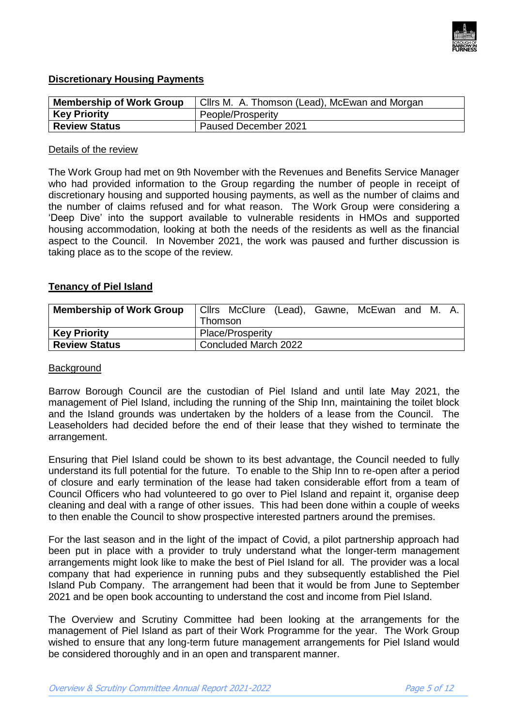

# **Discretionary Housing Payments**

| <b>Membership of Work Group</b> | Cllrs M. A. Thomson (Lead), McEwan and Morgan |  |  |
|---------------------------------|-----------------------------------------------|--|--|
| <b>Key Priority</b>             | People/Prosperity                             |  |  |
| <b>Review Status</b>            | Paused December 2021                          |  |  |

#### Details of the review

The Work Group had met on 9th November with the Revenues and Benefits Service Manager who had provided information to the Group regarding the number of people in receipt of discretionary housing and supported housing payments, as well as the number of claims and the number of claims refused and for what reason. The Work Group were considering a 'Deep Dive' into the support available to vulnerable residents in HMOs and supported housing accommodation, looking at both the needs of the residents as well as the financial aspect to the Council. In November 2021, the work was paused and further discussion is taking place as to the scope of the review.

### **Tenancy of Piel Island**

| <b>Membership of Work Group</b> | Thomson              |  |  |  | Cllrs McClure (Lead), Gawne, McEwan and M. A. |  |  |  |
|---------------------------------|----------------------|--|--|--|-----------------------------------------------|--|--|--|
| <b>Key Priority</b>             | Place/Prosperity     |  |  |  |                                               |  |  |  |
| <b>Review Status</b>            | Concluded March 2022 |  |  |  |                                               |  |  |  |

#### **Background**

Barrow Borough Council are the custodian of Piel Island and until late May 2021, the management of Piel Island, including the running of the Ship Inn, maintaining the toilet block and the Island grounds was undertaken by the holders of a lease from the Council. The Leaseholders had decided before the end of their lease that they wished to terminate the arrangement.

Ensuring that Piel Island could be shown to its best advantage, the Council needed to fully understand its full potential for the future. To enable to the Ship Inn to re-open after a period of closure and early termination of the lease had taken considerable effort from a team of Council Officers who had volunteered to go over to Piel Island and repaint it, organise deep cleaning and deal with a range of other issues. This had been done within a couple of weeks to then enable the Council to show prospective interested partners around the premises.

For the last season and in the light of the impact of Covid, a pilot partnership approach had been put in place with a provider to truly understand what the longer-term management arrangements might look like to make the best of Piel Island for all. The provider was a local company that had experience in running pubs and they subsequently established the Piel Island Pub Company. The arrangement had been that it would be from June to September 2021 and be open book accounting to understand the cost and income from Piel Island.

The Overview and Scrutiny Committee had been looking at the arrangements for the management of Piel Island as part of their Work Programme for the year. The Work Group wished to ensure that any long-term future management arrangements for Piel Island would be considered thoroughly and in an open and transparent manner.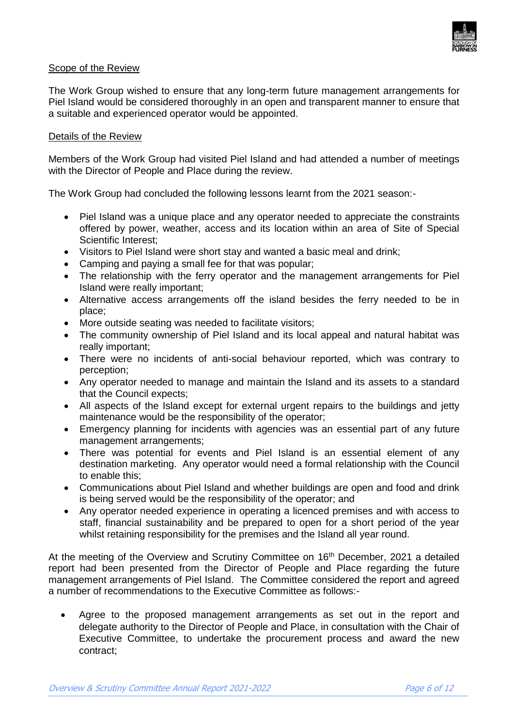

# Scope of the Review

The Work Group wished to ensure that any long-term future management arrangements for Piel Island would be considered thoroughly in an open and transparent manner to ensure that a suitable and experienced operator would be appointed.

# Details of the Review

Members of the Work Group had visited Piel Island and had attended a number of meetings with the Director of People and Place during the review.

The Work Group had concluded the following lessons learnt from the 2021 season:-

- Piel Island was a unique place and any operator needed to appreciate the constraints offered by power, weather, access and its location within an area of Site of Special Scientific Interest;
- Visitors to Piel Island were short stay and wanted a basic meal and drink;
- Camping and paying a small fee for that was popular;
- The relationship with the ferry operator and the management arrangements for Piel Island were really important;
- Alternative access arrangements off the island besides the ferry needed to be in place;
- More outside seating was needed to facilitate visitors;
- The community ownership of Piel Island and its local appeal and natural habitat was really important;
- There were no incidents of anti-social behaviour reported, which was contrary to perception;
- Any operator needed to manage and maintain the Island and its assets to a standard that the Council expects;
- All aspects of the Island except for external urgent repairs to the buildings and jetty maintenance would be the responsibility of the operator;
- Emergency planning for incidents with agencies was an essential part of any future management arrangements;
- There was potential for events and Piel Island is an essential element of any destination marketing. Any operator would need a formal relationship with the Council to enable this;
- Communications about Piel Island and whether buildings are open and food and drink is being served would be the responsibility of the operator; and
- Any operator needed experience in operating a licenced premises and with access to staff, financial sustainability and be prepared to open for a short period of the year whilst retaining responsibility for the premises and the Island all year round.

At the meeting of the Overview and Scrutiny Committee on 16<sup>th</sup> December, 2021 a detailed report had been presented from the Director of People and Place regarding the future management arrangements of Piel Island. The Committee considered the report and agreed a number of recommendations to the Executive Committee as follows:-

 Agree to the proposed management arrangements as set out in the report and delegate authority to the Director of People and Place, in consultation with the Chair of Executive Committee, to undertake the procurement process and award the new contract;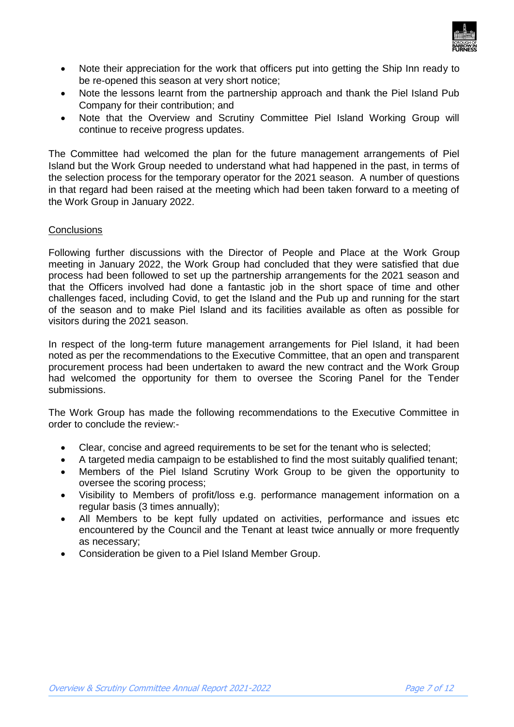

- Note their appreciation for the work that officers put into getting the Ship Inn ready to be re-opened this season at very short notice;
- Note the lessons learnt from the partnership approach and thank the Piel Island Pub Company for their contribution; and
- Note that the Overview and Scrutiny Committee Piel Island Working Group will continue to receive progress updates.

The Committee had welcomed the plan for the future management arrangements of Piel Island but the Work Group needed to understand what had happened in the past, in terms of the selection process for the temporary operator for the 2021 season. A number of questions in that regard had been raised at the meeting which had been taken forward to a meeting of the Work Group in January 2022.

# **Conclusions**

Following further discussions with the Director of People and Place at the Work Group meeting in January 2022, the Work Group had concluded that they were satisfied that due process had been followed to set up the partnership arrangements for the 2021 season and that the Officers involved had done a fantastic job in the short space of time and other challenges faced, including Covid, to get the Island and the Pub up and running for the start of the season and to make Piel Island and its facilities available as often as possible for visitors during the 2021 season.

In respect of the long-term future management arrangements for Piel Island, it had been noted as per the recommendations to the Executive Committee, that an open and transparent procurement process had been undertaken to award the new contract and the Work Group had welcomed the opportunity for them to oversee the Scoring Panel for the Tender submissions.

The Work Group has made the following recommendations to the Executive Committee in order to conclude the review:-

- Clear, concise and agreed requirements to be set for the tenant who is selected;
- A targeted media campaign to be established to find the most suitably qualified tenant;
- Members of the Piel Island Scrutiny Work Group to be given the opportunity to oversee the scoring process;
- Visibility to Members of profit/loss e.g. performance management information on a regular basis (3 times annually);
- All Members to be kept fully updated on activities, performance and issues etc encountered by the Council and the Tenant at least twice annually or more frequently as necessary;
- Consideration be given to a Piel Island Member Group.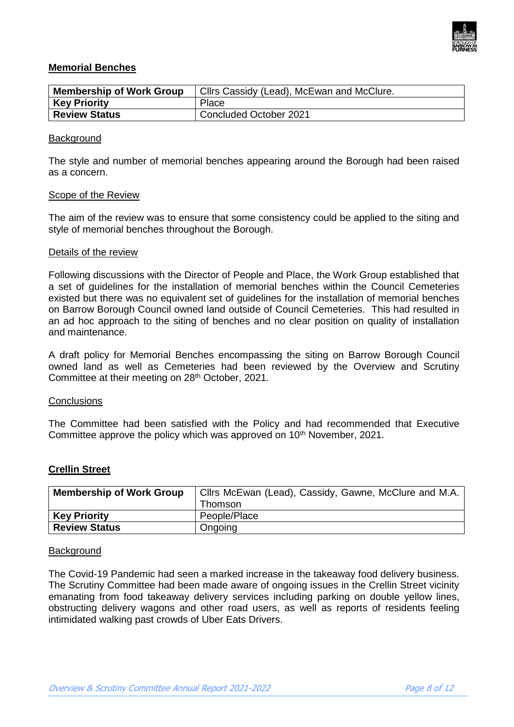

# **Memorial Benches**

| <b>Membership of Work Group</b> | Cllrs Cassidy (Lead), McEwan and McClure. |  |  |
|---------------------------------|-------------------------------------------|--|--|
| <b>Key Priority</b>             | Place                                     |  |  |
| <b>Review Status</b>            | Concluded October 2021                    |  |  |

### **Background**

The style and number of memorial benches appearing around the Borough had been raised as a concern.

### Scope of the Review

The aim of the review was to ensure that some consistency could be applied to the siting and style of memorial benches throughout the Borough.

#### Details of the review

Following discussions with the Director of People and Place, the Work Group established that a set of guidelines for the installation of memorial benches within the Council Cemeteries existed but there was no equivalent set of guidelines for the installation of memorial benches on Barrow Borough Council owned land outside of Council Cemeteries. This had resulted in an ad hoc approach to the siting of benches and no clear position on quality of installation and maintenance.

A draft policy for Memorial Benches encompassing the siting on Barrow Borough Council owned land as well as Cemeteries had been reviewed by the Overview and Scrutiny Committee at their meeting on 28<sup>th</sup> October, 2021.

#### **Conclusions**

The Committee had been satisfied with the Policy and had recommended that Executive Committee approve the policy which was approved on 10<sup>th</sup> November, 2021.

# **Crellin Street**

| <b>Membership of Work Group</b> | Cllrs McEwan (Lead), Cassidy, Gawne, McClure and M.A. |
|---------------------------------|-------------------------------------------------------|
|                                 | <b>Thomson</b>                                        |
| <b>Key Priority</b>             | People/Place                                          |
| <b>Review Status</b>            | Ongoing                                               |

#### **Background**

The Covid-19 Pandemic had seen a marked increase in the takeaway food delivery business. The Scrutiny Committee had been made aware of ongoing issues in the Crellin Street vicinity emanating from food takeaway delivery services including parking on double yellow lines, obstructing delivery wagons and other road users, as well as reports of residents feeling intimidated walking past crowds of Uber Eats Drivers.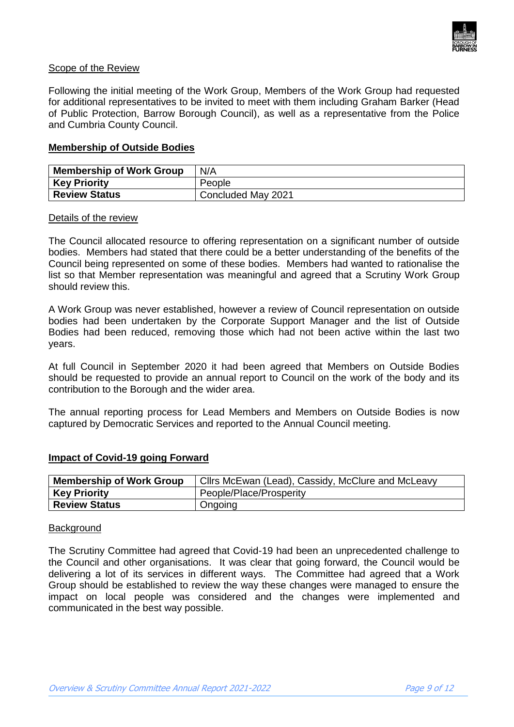

# Scope of the Review

Following the initial meeting of the Work Group, Members of the Work Group had requested for additional representatives to be invited to meet with them including Graham Barker (Head of Public Protection, Barrow Borough Council), as well as a representative from the Police and Cumbria County Council.

### **Membership of Outside Bodies**

| <b>Membership of Work Group</b> | N/A                |  |
|---------------------------------|--------------------|--|
| <b>Key Priority</b>             | People             |  |
| <b>Review Status</b>            | Concluded May 2021 |  |

#### Details of the review

The Council allocated resource to offering representation on a significant number of outside bodies. Members had stated that there could be a better understanding of the benefits of the Council being represented on some of these bodies. Members had wanted to rationalise the list so that Member representation was meaningful and agreed that a Scrutiny Work Group should review this.

A Work Group was never established, however a review of Council representation on outside bodies had been undertaken by the Corporate Support Manager and the list of Outside Bodies had been reduced, removing those which had not been active within the last two years.

At full Council in September 2020 it had been agreed that Members on Outside Bodies should be requested to provide an annual report to Council on the work of the body and its contribution to the Borough and the wider area.

The annual reporting process for Lead Members and Members on Outside Bodies is now captured by Democratic Services and reported to the Annual Council meeting.

#### **Impact of Covid-19 going Forward**

| <b>Membership of Work Group</b> | Cllrs McEwan (Lead), Cassidy, McClure and McLeavy |
|---------------------------------|---------------------------------------------------|
| <b>Key Priority</b>             | People/Place/Prosperity                           |
| <b>Review Status</b>            | Ongoing                                           |

#### **Background**

The Scrutiny Committee had agreed that Covid-19 had been an unprecedented challenge to the Council and other organisations. It was clear that going forward, the Council would be delivering a lot of its services in different ways. The Committee had agreed that a Work Group should be established to review the way these changes were managed to ensure the impact on local people was considered and the changes were implemented and communicated in the best way possible.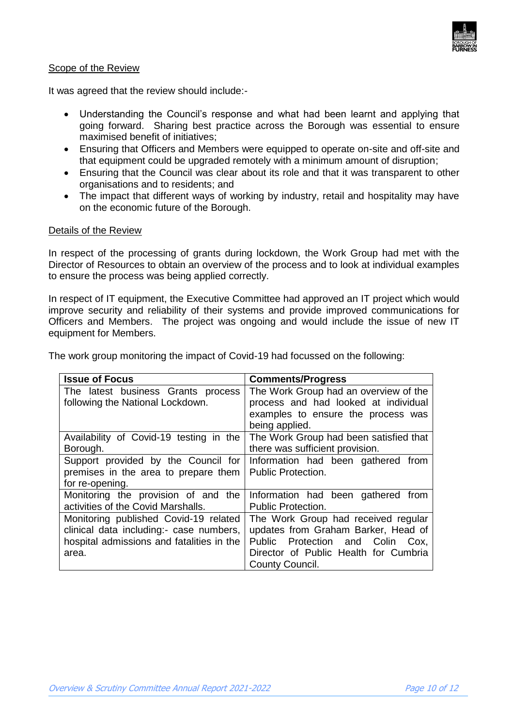

# Scope of the Review

It was agreed that the review should include:-

- Understanding the Council's response and what had been learnt and applying that going forward. Sharing best practice across the Borough was essential to ensure maximised benefit of initiatives;
- Ensuring that Officers and Members were equipped to operate on-site and off-site and that equipment could be upgraded remotely with a minimum amount of disruption;
- Ensuring that the Council was clear about its role and that it was transparent to other organisations and to residents; and
- The impact that different ways of working by industry, retail and hospitality may have on the economic future of the Borough.

### Details of the Review

In respect of the processing of grants during lockdown, the Work Group had met with the Director of Resources to obtain an overview of the process and to look at individual examples to ensure the process was being applied correctly.

In respect of IT equipment, the Executive Committee had approved an IT project which would improve security and reliability of their systems and provide improved communications for Officers and Members. The project was ongoing and would include the issue of new IT equipment for Members.

| <b>Issue of Focus</b>                     | <b>Comments/Progress</b>               |
|-------------------------------------------|----------------------------------------|
| The latest business Grants process        | The Work Group had an overview of the  |
| following the National Lockdown.          | process and had looked at individual   |
|                                           | examples to ensure the process was     |
|                                           | being applied.                         |
| Availability of Covid-19 testing in the   | The Work Group had been satisfied that |
| Borough.                                  | there was sufficient provision.        |
| Support provided by the Council for       | Information had been gathered from     |
| premises in the area to prepare them      | <b>Public Protection.</b>              |
| for re-opening.                           |                                        |
| Monitoring the provision of and the       | Information had been gathered from     |
| activities of the Covid Marshalls.        | <b>Public Protection.</b>              |
| Monitoring published Covid-19 related     | The Work Group had received regular    |
| clinical data including:- case numbers,   | updates from Graham Barker, Head of    |
| hospital admissions and fatalities in the | Public Protection and Colin<br>Cox.    |
| area.                                     | Director of Public Health for Cumbria  |
|                                           | County Council.                        |

The work group monitoring the impact of Covid-19 had focussed on the following: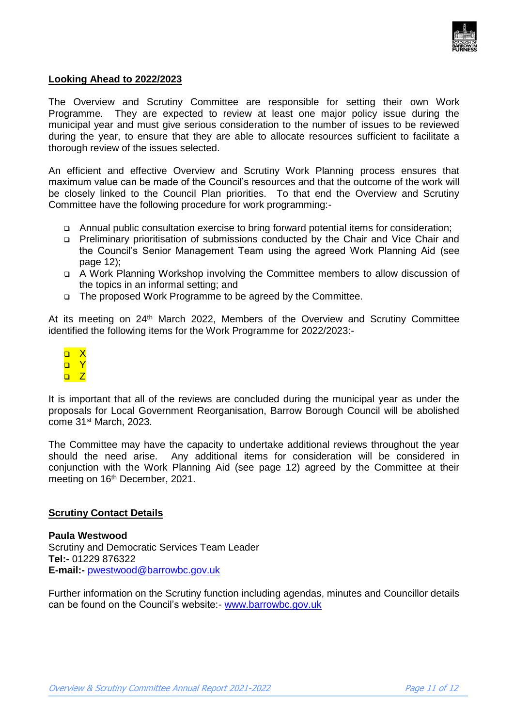

# **Looking Ahead to 2022/2023**

The Overview and Scrutiny Committee are responsible for setting their own Work Programme. They are expected to review at least one major policy issue during the municipal year and must give serious consideration to the number of issues to be reviewed during the year, to ensure that they are able to allocate resources sufficient to facilitate a thorough review of the issues selected.

An efficient and effective Overview and Scrutiny Work Planning process ensures that maximum value can be made of the Council's resources and that the outcome of the work will be closely linked to the Council Plan priorities. To that end the Overview and Scrutiny Committee have the following procedure for work programming:-

- Annual public consultation exercise to bring forward potential items for consideration;
- Preliminary prioritisation of submissions conducted by the Chair and Vice Chair and the Council's Senior Management Team using the agreed Work Planning Aid (see page 12);
- A Work Planning Workshop involving the Committee members to allow discussion of the topics in an informal setting; and
- The proposed Work Programme to be agreed by the Committee.

At its meeting on 24<sup>th</sup> March 2022, Members of the Overview and Scrutiny Committee identified the following items for the Work Programme for 2022/2023:-

 $\Box$  X o Y  $n \nabla$ 

It is important that all of the reviews are concluded during the municipal year as under the proposals for Local Government Reorganisation, Barrow Borough Council will be abolished come 31st March, 2023.

The Committee may have the capacity to undertake additional reviews throughout the year should the need arise. Any additional items for consideration will be considered in conjunction with the Work Planning Aid (see page 12) agreed by the Committee at their meeting on 16<sup>th</sup> December, 2021.

#### **Scrutiny Contact Details**

**Paula Westwood** Scrutiny and Democratic Services Team Leader **[Tel:-](tel:-)** 01229 876322 **E-mail:-** [pwestwood@barrowbc.gov.uk](mailto:pwestwood@barrowbc.gov.uk) 

Further information on the Scrutiny function including agendas, minutes and Councillor details can be found on the Council's website:- [www.barrowbc.gov.uk](http://www.barrowbc.gov.uk/)